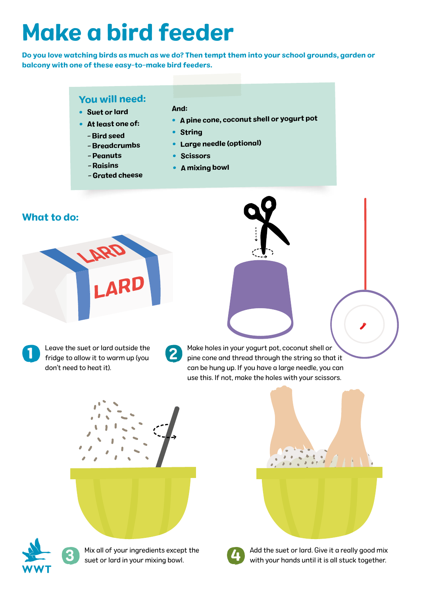# Make a bird feeder

Do you love watching birds as much as we do? Then tempt them into your school grounds, garden or balcony with one of these easy-to-make bird feeders.

### You will need:

- Suet or lard
- At least one of:
	- Bird seed
	- Breadcrumbs
	- Peanuts
	- Raisins
	- Grated cheese

## And:

- A pine cone, coconut shell or yogurt pot
- String
- •Large needle (optional)
- Scissors
- A mixing bowl

#### What to do:



- Leave the suet or lard outside the fridge to allow it to warm up (you don't need to heat it). 1
- 2

Make holes in your yogurt pot, coconut shell or pine cone and thread through the string so that it can be hung up. If you have a large needle, you can use this. If not, make the holes with your scissors.





Mix all of your ingredients except the suet or lard in your mixing bowl.



Add the suet or lard. Give it a really good mix<br>with your hands until it is all stuck together.